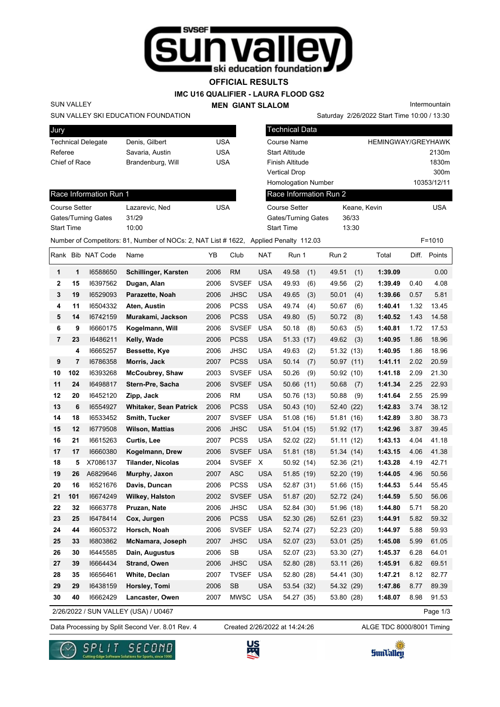

**OFFICIAL RESULTS**

**IMC U16 QUALIFIER - LAURA FLOOD GS2**

**MEN GIANT SLALOM**

Intermountain

### SUN VALLEY SKI EDUCATION FOUNDATION

SUN VALLEY

Race Information Run 1

Gates/Turning Gates 31/29 Start Time 10:00

| Jury                      |                   |     |
|---------------------------|-------------------|-----|
| <b>Technical Delegate</b> | Denis, Gilbert    | USA |
| Referee                   | Savaria, Austin   | USA |
| Chief of Race             | Brandenburg, Will | USA |
|                           |                   |     |

Course Setter Lazarevic, Ned Course Setter

| <b>Technical Data</b>      |              |                           |
|----------------------------|--------------|---------------------------|
| Course Name                |              | <b>HEMINGWAY/GREYHAWK</b> |
| <b>Start Altitude</b>      |              | 2130m                     |
| <b>Finish Altitude</b>     |              | 1830m                     |
| <b>Vertical Drop</b>       |              | 300m                      |
| <b>Homologation Number</b> |              | 10353/12/11               |
| Race Information Run 2     |              |                           |
| <b>Course Setter</b>       | Keane, Kevin | USA                       |
| Gates/Turning Gates        | 36/33        |                           |
| <b>Start Time</b>          | 13:30        |                           |
|                            |              |                           |

Saturday 2/26/2022 Start Time 10:00 / 13:30

Number of Competitors: 81, Number of NOCs: 2, NAT List # 1622, Applied Penalty 112.03 F=1010

|                |     | Rank Bib NAT Code | Name                                 | ΥB   | Club         | <b>NAT</b> | Run 1        | Run 2         | Total   | Diff. | Points   |
|----------------|-----|-------------------|--------------------------------------|------|--------------|------------|--------------|---------------|---------|-------|----------|
| 1              | 1   | 16588650          | Schillinger, Karsten                 | 2006 | <b>RM</b>    | <b>USA</b> | 49.58<br>(1) | 49.51<br>(1)  | 1:39.09 |       | 0.00     |
| $\mathbf{2}$   | 15  | 16397562          | Dugan, Alan                          | 2006 | <b>SVSEF</b> | <b>USA</b> | 49.93<br>(6) | 49.56<br>(2)  | 1:39.49 | 0.40  | 4.08     |
| 3              | 19  | 16529093          | Parazette, Noah                      | 2006 | <b>JHSC</b>  | <b>USA</b> | 49.65<br>(3) | 50.01<br>(4)  | 1:39.66 | 0.57  | 5.81     |
| 4              | 11  | 16504332          | Aten, Austin                         | 2006 | <b>PCSS</b>  | <b>USA</b> | 49.74<br>(4) | 50.67<br>(6)  | 1:40.41 | 1.32  | 13.45    |
| 5              | 14  | 16742159          | Murakami, Jackson                    | 2006 | <b>PCSS</b>  | <b>USA</b> | 49.80<br>(5) | 50.72<br>(8)  | 1:40.52 | 1.43  | 14.58    |
| 6              | 9   | 16660175          | Kogelmann, Will                      | 2006 | <b>SVSEF</b> | <b>USA</b> | 50.18<br>(8) | 50.63<br>(5)  | 1:40.81 | 1.72  | 17.53    |
| $\overline{7}$ | 23  | 16486211          | Kelly, Wade                          | 2006 | <b>PCSS</b>  | <b>USA</b> | 51.33 (17)   | 49.62<br>(3)  | 1:40.95 | 1.86  | 18.96    |
|                | 4   | 16665257          | Bessette, Kye                        | 2006 | <b>JHSC</b>  | <b>USA</b> | 49.63<br>(2) | 51.32 (13)    | 1:40.95 | 1.86  | 18.96    |
| 9              | 7   | 16786358          | Morris, Jack                         | 2007 | <b>PCSS</b>  | <b>USA</b> | 50.14<br>(7) | 50.97<br>(11) | 1:41.11 | 2.02  | 20.59    |
| 10             | 102 | 16393268          | <b>McCoubrey, Shaw</b>               | 2003 | <b>SVSEF</b> | <b>USA</b> | 50.26<br>(9) | 50.92 (10)    | 1:41.18 | 2.09  | 21.30    |
| 11             | 24  | 16498817          | Stern-Pre, Sacha                     | 2006 | <b>SVSEF</b> | <b>USA</b> | 50.66 (11)   | 50.68<br>(7)  | 1:41.34 | 2.25  | 22.93    |
| 12             | 20  | 16452120          | Zipp, Jack                           | 2006 | <b>RM</b>    | <b>USA</b> | 50.76 (13)   | 50.88<br>(9)  | 1:41.64 | 2.55  | 25.99    |
| 13             | 6   | 16554927          | <b>Whitaker, Sean Patrick</b>        | 2006 | <b>PCSS</b>  | <b>USA</b> | 50.43(10)    | 52.40<br>(22) | 1:42.83 | 3.74  | 38.12    |
| 14             | 18  | 16533452          | Smith, Tucker                        | 2007 | <b>SVSEF</b> | <b>USA</b> | 51.08 (16)   | 51.81 (16)    | 1:42.89 | 3.80  | 38.73    |
| 15             | 12  | 16779508          | <b>Wilson, Mattias</b>               | 2006 | <b>JHSC</b>  | <b>USA</b> | 51.04 (15)   | 51.92 (17)    | 1:42.96 | 3.87  | 39.45    |
| 16             | 21  | 16615263          | <b>Curtis, Lee</b>                   | 2007 | <b>PCSS</b>  | <b>USA</b> | 52.02 (22)   | 51.11(12)     | 1:43.13 | 4.04  | 41.18    |
| 17             | 17  | 16660380          | Kogelmann, Drew                      | 2006 | <b>SVSEF</b> | <b>USA</b> | 51.81 (18)   | 51.34 (14)    | 1:43.15 | 4.06  | 41.38    |
| 18             | 5   | X7086137          | <b>Tilander, Nicolas</b>             | 2004 | <b>SVSEF</b> | Χ          | 50.92 (14)   | 52.36 (21)    | 1:43.28 | 4.19  | 42.71    |
| 19             | 26  | A6829646          | Murphy, Jaxon                        | 2007 | <b>ASC</b>   | <b>USA</b> | 51.85 (19)   | 52.20 (19)    | 1:44.05 | 4.96  | 50.56    |
| 20             | 16  | 16521676          | Davis, Duncan                        | 2006 | <b>PCSS</b>  | <b>USA</b> | 52.87 (31)   | 51.66 (15)    | 1:44.53 | 5.44  | 55.45    |
| 21             | 101 | 16674249          | Wilkey, Halston                      | 2002 | <b>SVSEF</b> | <b>USA</b> | 51.87 (20)   | 52.72 (24)    | 1:44.59 | 5.50  | 56.06    |
| 22             | 32  | 16663778          | Pruzan, Nate                         | 2006 | <b>JHSC</b>  | <b>USA</b> | 52.84 (30)   | 51.96 (18)    | 1:44.80 | 5.71  | 58.20    |
| 23             | 25  | 16478414          | Cox, Jurgen                          | 2006 | <b>PCSS</b>  | <b>USA</b> | 52.30 (26)   | 52.61 (23)    | 1:44.91 | 5.82  | 59.32    |
| 24             | 44  | 16605372          | Horsch, Noah                         | 2006 | <b>SVSEF</b> | <b>USA</b> | 52.74 (27)   | 52.23 (20)    | 1:44.97 | 5.88  | 59.93    |
| 25             | 33  | 16803862          | McNamara, Joseph                     | 2007 | <b>JHSC</b>  | <b>USA</b> | 52.07 (23)   | 53.01 (25)    | 1:45.08 | 5.99  | 61.05    |
| 26             | 30  | 16445585          | Dain, Augustus                       | 2006 | <b>SB</b>    | <b>USA</b> | 52.07 (23)   | 53.30 (27)    | 1:45.37 | 6.28  | 64.01    |
| 27             | 39  | 16664434          | <b>Strand, Owen</b>                  | 2006 | <b>JHSC</b>  | <b>USA</b> | 52.80 (28)   | 53.11 (26)    | 1:45.91 | 6.82  | 69.51    |
| 28             | 35  | 16656461          | White, Declan                        | 2007 | <b>TVSEF</b> | <b>USA</b> | 52.80 (28)   | 54.41 (30)    | 1:47.21 | 8.12  | 82.77    |
| 29             | 29  | 16438159          | Horsley, Tomi                        | 2006 | <b>SB</b>    | <b>USA</b> | 53.54 (32)   | 54.32 (29)    | 1:47.86 | 8.77  | 89.39    |
| 30             | 40  | 16662429          | Lancaster, Owen                      | 2007 | <b>MWSC</b>  | <b>USA</b> | 54.27 (35)   | 53.80 (28)    | 1:48.07 | 8.98  | 91.53    |
|                |     |                   | 2/26/2022 / SUN VALLEY (USA) / U0467 |      |              |            |              |               |         |       | Page 1/3 |

2/26/2022 / SUN VALLEY (USA) / U0467

Data Processing by Split Second Ver. 8.01 Rev. 4 Created 2/26/2022 at 14:24:26 ALGE TDC 8000/8001 Timing Created 2/26/2022 at 14:24:26





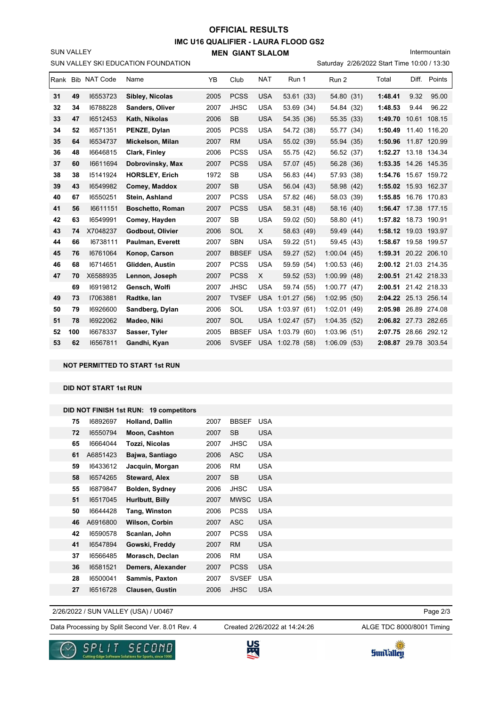# **IMC U16 QUALIFIER - LAURA FLOOD GS2 MEN GIANT SLALOM OFFICIAL RESULTS**

Intermountain

SUN VALLEY

|    | SUN VALLEY SKI EDUCATION FOUNDATION<br>Saturday 2/26/2022 Start Time 10:00 / 13:30<br>Rank Bib NAT Code<br>Total |          |                         |      |              |            |                  |             |      |         |       |                      |
|----|------------------------------------------------------------------------------------------------------------------|----------|-------------------------|------|--------------|------------|------------------|-------------|------|---------|-------|----------------------|
|    |                                                                                                                  |          | Name                    | YB   | Club         | <b>NAT</b> | Run 1            | Run 2       |      |         | Diff. | Points               |
| 31 | 49                                                                                                               | 16553723 | Sibley, Nicolas         | 2005 | <b>PCSS</b>  | <b>USA</b> | 53.61 (33)       | 54.80 (31)  |      | 1:48.41 | 9.32  | 95.00                |
| 32 | 34                                                                                                               | 16788228 | Sanders, Oliver         | 2007 | <b>JHSC</b>  | <b>USA</b> | 53.69 (34)       | 54.84 (32)  |      | 1:48.53 | 9.44  | 96.22                |
| 33 | 47                                                                                                               | 16512453 | Kath, Nikolas           | 2006 | <b>SB</b>    | <b>USA</b> | 54.35 (36)       | 55.35 (33)  |      | 1:49.70 |       | 10.61 108.15         |
| 34 | 52                                                                                                               | 16571351 | PENZE, Dylan            | 2005 | <b>PCSS</b>  | <b>USA</b> | 54.72 (38)       | 55.77 (34)  |      | 1:50.49 |       | 11.40 116.20         |
| 35 | 64                                                                                                               | 16534737 | Mickelson, Milan        | 2007 | <b>RM</b>    | <b>USA</b> | 55.02 (39)       | 55.94 (35)  |      | 1:50.96 |       | 11.87 120.99         |
| 36 | 48                                                                                                               | 16646815 | Clark, Finley           | 2006 | <b>PCSS</b>  | <b>USA</b> | 55.75 (42)       | 56.52 (37)  |      | 1:52.27 |       | 13.18 134.34         |
| 37 | 60                                                                                                               | 16611694 | Dobrovinsky, Max        | 2007 | <b>PCSS</b>  | <b>USA</b> | 57.07 (45)       | 56.28 (36)  |      | 1:53.35 |       | 14.26 145.35         |
| 38 | 38                                                                                                               | 15141924 | <b>HORSLEY, Erich</b>   | 1972 | SB           | <b>USA</b> | 56.83 (44)       | 57.93 (38)  |      | 1:54.76 |       | 15.67 159.72         |
| 39 | 43                                                                                                               | 16549982 | Comey, Maddox           | 2007 | <b>SB</b>    | <b>USA</b> | 56.04 (43)       | 58.98 (42)  |      |         |       | 1:55.02 15.93 162.37 |
| 40 | 67                                                                                                               | 16550251 | Stein, Ashland          | 2007 | <b>PCSS</b>  | <b>USA</b> | 57.82 (46)       | 58.03 (39)  |      | 1:55.85 |       | 16.76 170.83         |
| 41 | 56                                                                                                               | 16611151 | <b>Boschetto, Roman</b> | 2007 | <b>PCSS</b>  | <b>USA</b> | 58.31 (48)       | 58.16 (40)  |      |         |       | 1:56.47 17.38 177.15 |
| 42 | 63                                                                                                               | 16549991 | Comey, Hayden           | 2007 | <b>SB</b>    | <b>USA</b> | 59.02 (50)       | 58.80       | (41) | 1:57.82 |       | 18.73 190.91         |
| 43 | 74                                                                                                               | X7048237 | Godbout, Olivier        | 2006 | SOL          | X          | 58.63 (49)       | 59.49 (44)  |      |         |       | 1:58.12 19.03 193.97 |
| 44 | 66                                                                                                               | 16738111 | Paulman, Everett        | 2007 | <b>SBN</b>   | <b>USA</b> | 59.22 (51)       | 59.45 (43)  |      |         |       | 1:58.67 19.58 199.57 |
| 45 | 76                                                                                                               | 16761064 | Konop, Carson           | 2007 | <b>BBSEF</b> | <b>USA</b> | 59.27 (52)       | 1:00.04(45) |      |         |       | 1:59.31 20.22 206.10 |
| 46 | 68                                                                                                               | 16714651 | Glidden, Austin         | 2007 | <b>PCSS</b>  | <b>USA</b> | 59.59 (54)       | 1:00.53(46) |      |         |       | 2:00.12 21.03 214.35 |
| 47 | 70                                                                                                               | X6588935 | Lennon, Joseph          | 2007 | <b>PCSS</b>  | X          | 59.52 (53)       | 1:00.99(48) |      |         |       | 2:00.51 21.42 218.33 |
|    | 69                                                                                                               | 16919812 | Gensch, Wolfi           | 2007 | <b>JHSC</b>  | <b>USA</b> | 59.74 (55)       | 1:00.77(47) |      |         |       | 2:00.51 21.42 218.33 |
| 49 | 73                                                                                                               | 17063881 | Radtke, lan             | 2007 | <b>TVSEF</b> | <b>USA</b> | 1:01.27(56)      | 1:02.95(50) |      |         |       | 2:04.22 25.13 256.14 |
| 50 | 79                                                                                                               | 16926600 | Sandberg, Dylan         | 2006 | SOL          | <b>USA</b> | 1:03.97(61)      | 1:02.01     | (49) | 2:05.98 |       | 26.89 274.08         |
| 51 | 78                                                                                                               | 16922062 | Madeo, Niki             | 2007 | SOL          | USA        | 1:02.47(57)      | 1:04.35(52) |      |         |       | 2:06.82 27.73 282.65 |
| 52 | 100                                                                                                              | 16678337 | Sasser, Tyler           | 2005 | <b>BBSEF</b> | <b>USA</b> | 1:03.79(60)      | 1:03.96(51) |      | 2:07.75 |       | 28.66 292.12         |
| 53 | 62                                                                                                               | 16567811 | Gandhi, Kyan            | 2006 | <b>SVSEF</b> |            | USA 1:02.78 (58) | 1:06.09(53) |      |         |       | 2:08.87 29.78 303.54 |

**NOT PERMITTED TO START 1st RUN**

**DID NOT START 1st RUN**

|    |          | DID NOT FINISH 1st RUN: 19 competitors |      |              |            |
|----|----------|----------------------------------------|------|--------------|------------|
| 75 | 16892697 | <b>Holland, Dallin</b>                 | 2007 | <b>BBSEF</b> | <b>USA</b> |
| 72 | 16550794 | Moon, Cashton                          | 2007 | <b>SB</b>    | <b>USA</b> |
| 65 | 16664044 | Tozzi, Nicolas                         | 2007 | <b>JHSC</b>  | <b>USA</b> |
| 61 | A6851423 | Bajwa, Santiago                        | 2006 | <b>ASC</b>   | <b>USA</b> |
| 59 | 16433612 | Jacquin, Morgan                        | 2006 | <b>RM</b>    | <b>USA</b> |
| 58 | 16574265 | <b>Steward, Alex</b>                   | 2007 | <b>SB</b>    | <b>USA</b> |
| 55 | 16879847 | Bolden, Sydney                         | 2006 | <b>JHSC</b>  | <b>USA</b> |
| 51 | 16517045 | Hurlbutt, Billy                        | 2007 | <b>MWSC</b>  | <b>USA</b> |
| 50 | 16644428 | Tang, Winston                          | 2006 | <b>PCSS</b>  | <b>USA</b> |
| 46 | A6916800 | <b>Wilson, Corbin</b>                  | 2007 | <b>ASC</b>   | <b>USA</b> |
| 42 | 16590578 | Scanlan, John                          | 2007 | <b>PCSS</b>  | <b>USA</b> |
| 41 | 16547894 | Gowski, Freddy                         | 2007 | <b>RM</b>    | <b>USA</b> |
| 37 | 16566485 | Morasch, Declan                        | 2006 | <b>RM</b>    | <b>USA</b> |
| 36 | 16581521 | Demers, Alexander                      | 2007 | <b>PCSS</b>  | <b>USA</b> |
| 28 | 16500041 | Sammis, Paxton                         | 2007 | <b>SVSEF</b> | <b>USA</b> |
| 27 | 16516728 | <b>Clausen, Gustin</b>                 | 2006 | <b>JHSC</b>  | <b>USA</b> |
|    |          |                                        |      |              |            |

2/26/2022 / SUN VALLEY (USA) / U0467

Data Processing by Split Second Ver. 8.01 Rev. 4 Created 2/26/2022 at 14:24:26 ALGE TDC 8000/8001 Timing

Created 2/26/2022 at 14:24:26

Page 2/3